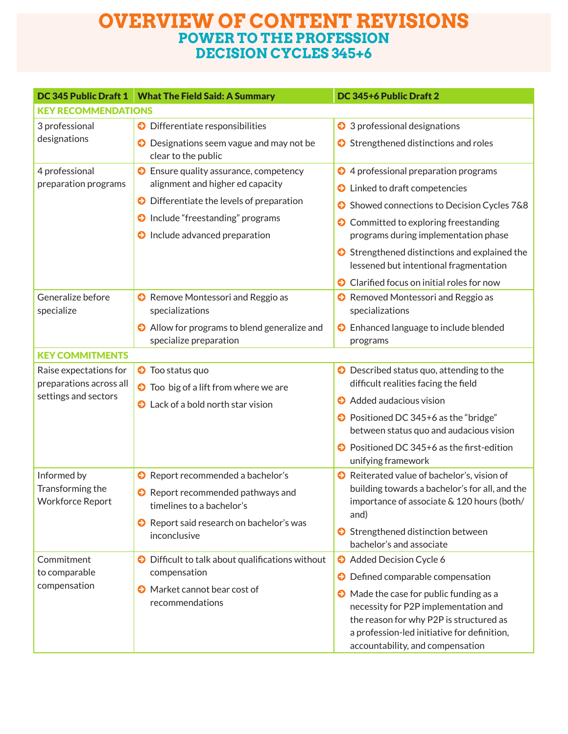## **OVERVIEW OF CONTENT REVISIONS POWER TO THE PROFESSION DECISION CYCLES 345+6**

| DC 345 Public Draft 1                                                     | <b>What The Field Said: A Summary</b>                                                                                                                                                                       | DC 345+6 Public Draft 2                                                                                                                                                                                                                                                                                           |  |
|---------------------------------------------------------------------------|-------------------------------------------------------------------------------------------------------------------------------------------------------------------------------------------------------------|-------------------------------------------------------------------------------------------------------------------------------------------------------------------------------------------------------------------------------------------------------------------------------------------------------------------|--|
| <b>KEY RECOMMENDATIONS</b>                                                |                                                                                                                                                                                                             |                                                                                                                                                                                                                                                                                                                   |  |
| 3 professional                                                            | Differentiate responsibilities<br>⊖                                                                                                                                                                         | <b>◆</b> 3 professional designations                                                                                                                                                                                                                                                                              |  |
| designations                                                              | Designations seem vague and may not be<br>⊖<br>clear to the public                                                                                                                                          | Strengthened distinctions and roles                                                                                                                                                                                                                                                                               |  |
| 4 professional<br>preparation programs                                    | Ensure quality assurance, competency<br>ဓး<br>alignment and higher ed capacity<br>Differentiate the levels of preparation<br>€<br>Include "freestanding" programs<br>ဓ<br>Include advanced preparation<br>ဓ | ◆ 4 professional preparation programs<br><b>O</b> Linked to draft competencies<br>Showed connections to Decision Cycles 7&8<br>Θ<br><b>◆</b> Committed to exploring freestanding<br>programs during implementation phase<br>Strengthened distinctions and explained the<br>lessened but intentional fragmentation |  |
| Generalize before<br>specialize                                           | Remove Montessori and Reggio as<br>specializations<br>Allow for programs to blend generalize and<br>ဓ<br>specialize preparation                                                                             | Clarified focus on initial roles for now<br>Removed Montessori and Reggio as<br>specializations<br><b>O</b> Enhanced language to include blended<br>programs                                                                                                                                                      |  |
| <b>KEY COMMITMENTS</b>                                                    |                                                                                                                                                                                                             |                                                                                                                                                                                                                                                                                                                   |  |
| Raise expectations for<br>preparations across all<br>settings and sectors | <b>O</b> Too status quo<br><b>O</b> Too big of a lift from where we are<br><b>O</b> Lack of a bold north star vision                                                                                        | <b>○</b> Described status quo, attending to the<br>difficult realities facing the field<br>Added audacious vision<br>◆ Positioned DC 345+6 as the "bridge"<br>between status quo and audacious vision<br>● Positioned DC 345+6 as the first-edition<br>unifying framework                                         |  |
| Informed by<br>Transforming the<br><b>Workforce Report</b>                | Report recommended a bachelor's<br>⊖<br>Report recommended pathways and<br>⊖<br>timelines to a bachelor's<br>Report said research on bachelor's was<br>မေ<br>inconclusive                                   | Reiterated value of bachelor's, vision of<br>building towards a bachelor's for all, and the<br>importance of associate & 120 hours (both/<br>and)<br>Strengthened distinction between<br>bachelor's and associate                                                                                                 |  |
| Commitment<br>to comparable<br>compensation                               | Difficult to talk about qualifications without<br>ဓး<br>compensation<br><b>O</b> Market cannot bear cost of<br>recommendations                                                                              | Added Decision Cycle 6<br>O Defined comparable compensation<br>• Made the case for public funding as a<br>necessity for P2P implementation and<br>the reason for why P2P is structured as<br>a profession-led initiative for definition,<br>accountability, and compensation                                      |  |